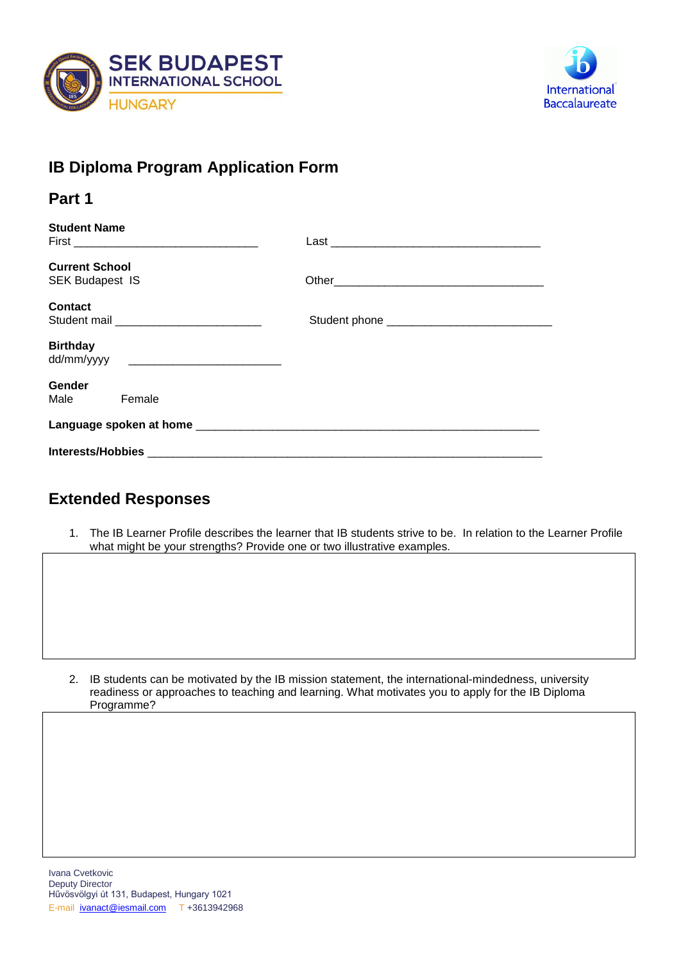



## **IB Diploma Program Application Form**

| Part 1                                          |  |
|-------------------------------------------------|--|
| <b>Student Name</b>                             |  |
| <b>Current School</b><br><b>SEK Budapest IS</b> |  |
| Contact                                         |  |
| <b>Birthday</b>                                 |  |
| <b>Gender</b><br>Male Female                    |  |
|                                                 |  |
|                                                 |  |

## **Extended Responses**

1. The IB Learner Profile describes the learner that IB students strive to be. In relation to the Learner Profile what might be your strengths? Provide one or two illustrative examples.

2. IB students can be motivated by the IB mission statement, the international-mindedness, university readiness or approaches to teaching and learning. What motivates you to apply for the IB Diploma Programme?